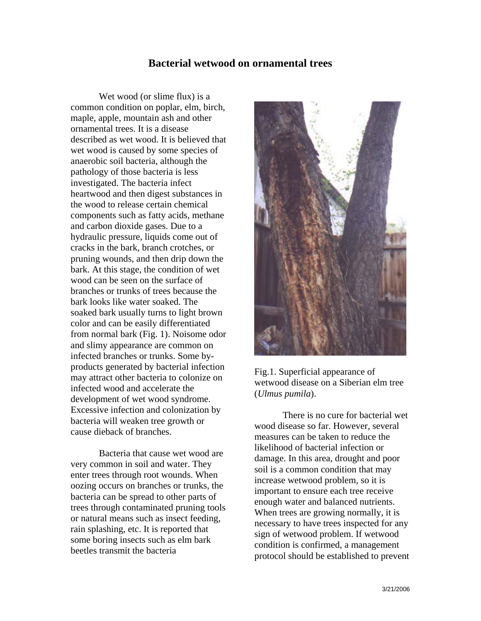## **Bacterial wetwood on ornamental trees**

 Wet wood (or slime flux) is a common condition on poplar, elm, birch, maple, apple, mountain ash and other ornamental trees. It is a disease described as wet wood. It is believed that wet wood is caused by some species of anaerobic soil bacteria, although the pathology of those bacteria is less investigated. The bacteria infect heartwood and then digest substances in the wood to release certain chemical components such as fatty acids, methane and carbon dioxide gases. Due to a hydraulic pressure, liquids come out of cracks in the bark, branch crotches, or pruning wounds, and then drip down the bark. At this stage, the condition of wet wood can be seen on the surface of branches or trunks of trees because the bark looks like water soaked. The soaked bark usually turns to light brown color and can be easily differentiated from normal bark (Fig. 1). Noisome odor and slimy appearance are common on infected branches or trunks. Some byproducts generated by bacterial infection may attract other bacteria to colonize on infected wood and accelerate the development of wet wood syndrome. Excessive infection and colonization by bacteria will weaken tree growth or cause dieback of branches.

 Bacteria that cause wet wood are very common in soil and water. They enter trees through root wounds. When oozing occurs on branches or trunks, the bacteria can be spread to other parts of trees through contaminated pruning tools or natural means such as insect feeding, rain splashing, etc. It is reported that some boring insects such as elm bark beetles transmit the bacteria





 There is no cure for bacterial wet wood disease so far. However, several measures can be taken to reduce the likelihood of bacterial infection or damage. In this area, drought and poor soil is a common condition that may increase wetwood problem, so it is important to ensure each tree receive enough water and balanced nutrients. When trees are growing normally, it is necessary to have trees inspected for any sign of wetwood problem. If wetwood condition is confirmed, a management protocol should be established to prevent